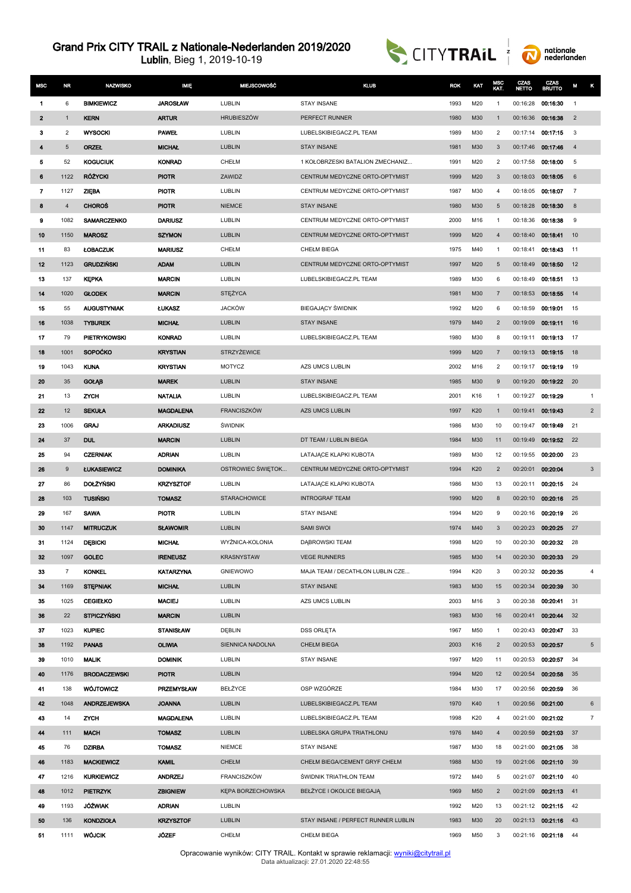



| <b>MSC</b>     | <b>NR</b>      | <b>NAZWISKO</b>     | IMIĘ              | <b>MIEJSCOWOŚĆ</b>  | <b>KLUB</b>                         | <b>ROK</b> | KAT | MSC<br>KAT.    | CZAS<br><b>NETTO</b> | CZAS<br><b>BRUTTO</b> | M              | κ               |
|----------------|----------------|---------------------|-------------------|---------------------|-------------------------------------|------------|-----|----------------|----------------------|-----------------------|----------------|-----------------|
| 1              | 6              | <b>BIMKIEWICZ</b>   | <b>JAROSŁAW</b>   | LUBLIN              | STAY INSANE                         | 1993       | M20 | 1              | 00:16:28             | 00:16:30              | $\overline{1}$ |                 |
| $\mathbf{2}$   | $\mathbf{1}$   | <b>KERN</b>         | <b>ARTUR</b>      | <b>HRUBIESZÓW</b>   | PERFECT RUNNER                      | 1980       | M30 | $\mathbf{1}$   | 00:16:36             | 00:16:38              | $\overline{2}$ |                 |
| 3              | $\overline{c}$ | <b>WYSOCKI</b>      | <b>PAWEL</b>      | LUBLIN              | LUBELSKIBIEGACZ.PL TEAM             | 1989       | M30 | 2              | 00:17:14             | 00:17:15              | 3              |                 |
| 4              | 5              | <b>ORZEL</b>        | <b>MICHAL</b>     | LUBLIN              | <b>STAY INSANE</b>                  | 1981       | M30 | 3              | 00:17:46             | 00:17:46              | $\overline{4}$ |                 |
| 5              | 52             | <b>KOGUCIUK</b>     | <b>KONRAD</b>     | CHEŁM               | 1 KOŁOBRZESKI BATALION ZMECHANIZ    | 1991       | M20 | 2              | 00:17:58             | 00:18:00              | 5              |                 |
| 6              | 1122           | <b>RÓŻYCKI</b>      | <b>PIOTR</b>      | ZAWIDZ              | CENTRUM MEDYCZNE ORTO-OPTYMIST      | 1999       | M20 | 3              | 00:18:03             | 00:18:05              | 6              |                 |
| $\overline{7}$ | 1127           | <b>ZIEBA</b>        | <b>PIOTR</b>      | LUBLIN              | CENTRUM MEDYCZNE ORTO-OPTYMIST      | 1987       | M30 | 4              | 00:18:05             | 00:18:07              | $\overline{7}$ |                 |
| 8              | $\overline{4}$ | <b>CHOROS</b>       | <b>PIOTR</b>      | <b>NIEMCE</b>       | <b>STAY INSANE</b>                  | 1980       | M30 | 5              | 00:18:28             | 00:18:30              | 8              |                 |
| 9              | 1082           | <b>SAMARCZENKO</b>  | <b>DARIUSZ</b>    | LUBLIN              | CENTRUM MEDYCZNE ORTO-OPTYMIST      | 2000       | M16 | $\mathbf{1}$   | 00:18:36             | 00:18:38              | 9              |                 |
| 10             | 1150           | <b>MAROSZ</b>       | <b>SZYMON</b>     | LUBLIN              | CENTRUM MEDYCZNE ORTO-OPTYMIST      | 1999       | M20 | $\overline{4}$ | 00:18:40             | 00:18:41              | 10             |                 |
| 11             | 83             | <b>ŁOBACZUK</b>     | <b>MARIUSZ</b>    | CHEŁM               | <b>CHEŁM BIEGA</b>                  | 1975       | M40 | 1              | 00:18:41             | 00:18:43              | 11             |                 |
| 12             | 1123           | <b>GRUDZINSKI</b>   | <b>ADAM</b>       | <b>LUBLIN</b>       | CENTRUM MEDYCZNE ORTO-OPTYMIST      | 1997       | M20 | 5              | 00:18:49             | 00:18:50              | 12             |                 |
| 13             | 137            | <b>KEPKA</b>        | <b>MARCIN</b>     | LUBLIN              | LUBELSKIBIEGACZ.PL TEAM             | 1989       | M30 | 6              | 00:18:49             | 00:18:51              | 13             |                 |
| 14             | 1020           | <b>GLODEK</b>       | <b>MARCIN</b>     | STĘŻYCA             |                                     | 1981       | M30 | $\overline{7}$ | 00:18:53             | 00:18:55              | 14             |                 |
| 15             | 55             | <b>AUGUSTYNIAK</b>  | <b>LUKASZ</b>     | <b>JACKÓW</b>       | <b>BIEGAJĄCY ŚWIDNIK</b>            | 1992       | M20 | 6              | 00:18:59             | 00:19:01              | 15             |                 |
| 16             | 1038           | <b>TYBUREK</b>      | <b>MICHAL</b>     | <b>LUBLIN</b>       | <b>STAY INSANE</b>                  | 1979       | M40 | $\overline{2}$ | 00:19:09             | 00:19:11              | 16             |                 |
| 17             | 79             | <b>PIETRYKOWSKI</b> | <b>KONRAD</b>     | LUBLIN              | LUBELSKIBIEGACZ.PL TEAM             | 1980       | M30 | 8              | 00:19:11             | 00:19:13              | 17             |                 |
| 18             | 1001           | <b>SOPOČKO</b>      | <b>KRYSTIAN</b>   | <b>STRZYŻEWICE</b>  |                                     | 1999       | M20 | $\overline{7}$ | 00:19:13             | 00:19:15              | 18             |                 |
| 19             | 1043           | <b>KUNA</b>         | <b>KRYSTIAN</b>   | <b>MOTYCZ</b>       | AZS UMCS LUBLIN                     | 2002       | M16 | 2              | 00:19:17             | 00:19:19              | 19             |                 |
| 20             | 35             | <b>GOLAB</b>        | <b>MAREK</b>      | LUBLIN              | <b>STAY INSANE</b>                  | 1985       | M30 | 9              | 00:19:20             | 00:19:22              | 20             |                 |
| 21             | 13             | ZYCH                | <b>NATALIA</b>    | LUBLIN              | LUBELSKIBIEGACZ.PL TEAM             | 2001       | K16 | 1              | 00:19:27             | 00:19:29              |                | $\mathbf{1}$    |
| 22             | 12             | <b>SEKUŁA</b>       | <b>MAGDALENA</b>  | <b>FRANCISZKÓW</b>  | <b>AZS UMCS LUBLIN</b>              | 1997       | K20 | $\mathbf{1}$   | 00:19:41             | 00:19:43              |                | $\overline{2}$  |
| 23             | 1006           | <b>GRAJ</b>         | <b>ARKADIUSZ</b>  | ŚWIDNIK             |                                     | 1986       | M30 | 10             | 00:19:47             | 00:19:49              | 21             |                 |
| 24             | 37             | <b>DUL</b>          | <b>MARCIN</b>     | <b>LUBLIN</b>       | DT TEAM / LUBLIN BIEGA              | 1984       | M30 | 11             | 00:19:49             | 00:19:52              | 22             |                 |
| 25             | 94             | <b>CZERNIAK</b>     | <b>ADRIAN</b>     | LUBLIN              | LATAJĄCE KLAPKI KUBOTA              | 1989       | M30 | 12             | 00:19:55             | 00:20:00              | 23             |                 |
| 26             | 9              | <b>ŁUKASIEWICZ</b>  | <b>DOMINIKA</b>   | OSTROWIEC ŚWIĘTOK   | CENTRUM MEDYCZNE ORTO-OPTYMIST      | 1994       | K20 | $\overline{2}$ | 00:20:01             | 00:20:04              |                | $\mathbf{3}$    |
| 27             | 86             | <b>DOLŻYŃSKI</b>    | <b>KRZYSZTOF</b>  | LUBLIN              | LATAJACE KLAPKI KUBOTA              | 1986       | M30 | 13             | 00:20:11             | 00:20:15              | 24             |                 |
| 28             | 103            | <b>TUSIŃSKI</b>     | <b>TOMASZ</b>     | <b>STARACHOWICE</b> | <b>INTROGRAF TEAM</b>               | 1990       | M20 | 8              | 00:20:10             | 00:20:16              | 25             |                 |
| 29             | 167            | <b>SAWA</b>         | <b>PIOTR</b>      | LUBLIN              | <b>STAY INSANE</b>                  | 1994       | M20 | 9              | 00:20:16             | 00:20:19              | 26             |                 |
| 30             | 1147           | <b>MITRUCZUK</b>    | <b>SLAWOMIR</b>   | LUBLIN              | <b>SAMI SWOI</b>                    | 1974       | M40 | 3              | 00:20:23             | 00:20:25              | 27             |                 |
| 31             | 1124           | <b>DEBICKI</b>      | <b>MICHAL</b>     | WYŻNICA-KOLONIA     | DABROWSKI TEAM                      | 1998       | M20 | 10             | 00:20:30             | 00:20:32              | 28             |                 |
| 32             | 1097           | <b>GOLEC</b>        | <b>IRENEUSZ</b>   | KRASNYSTAW          | <b>VEGE RUNNERS</b>                 | 1985       | M30 | 14             | 00:20:30             | 00:20:33              | 29             |                 |
| 33             | 7              | <b>KONKEL</b>       | <b>KATARZYNA</b>  | <b>GNIEWOWO</b>     | MAJA TEAM / DECATHLON LUBLIN CZE    | 1994       | K20 | 3              | 00:20:32             | 00:20:35              |                | 4               |
| 34             | 1169           | <b>STEPNIAK</b>     | <b>MICHAL</b>     | <b>LUBLIN</b>       | <b>STAY INSANE</b>                  | 1983       | M30 | 15             | 00:20:34             | 00:20:39              | 30             |                 |
| 35             | 1025           | <b>CEGIEŁKO</b>     | <b>MACIEJ</b>     | LUBLIN              | AZS UMCS LUBLIN                     | 2003       | M16 | 3              |                      | 00:20:38 00:20:41     | 31             |                 |
| 36             | 22             | <b>STPICZYŃSKI</b>  | <b>MARCIN</b>     | <b>LUBLIN</b>       |                                     | 1983       | M30 | 16             | 00:20:41             | 00.20.44              | 32             |                 |
| 37             | 1023           | <b>KUPIEC</b>       | <b>STANISŁAW</b>  | DEBLIN              | <b>DSS ORLETA</b>                   | 1967       | M50 | $\mathbf{1}$   | 00:20:43             | 00:20:47              | 33             |                 |
| 38             | 1192           | <b>PANAS</b>        | <b>OLIWIA</b>     | SIENNICA NADOLNA    | <b>CHEŁM BIEGA</b>                  | 2003       | K16 | $\overline{2}$ | 00:20:53             | 00:20:57              |                | $5\phantom{.0}$ |
| 39             | 1010           | <b>MALIK</b>        | <b>DOMINIK</b>    | LUBLIN              | STAY INSANE                         | 1997       | M20 | 11             | 00:20:53             | 00:20:57              | 34             |                 |
| 40             | 1176           | <b>BRODACZEWSKI</b> | <b>PIOTR</b>      | LUBLIN              |                                     | 1994       | M20 | 12             | 00:20:54             | 00:20:58              | 35             |                 |
| 41             | 138            | <b>WÓJTOWICZ</b>    | <b>PRZEMYSŁAW</b> | BEŁŻYCE             | OSP WZGÓRZE                         | 1984       | M30 | 17             | 00:20:56             | 00:20:59              | 36             |                 |
| 42             | 1048           | <b>ANDRZEJEWSKA</b> | <b>JOANNA</b>     | <b>LUBLIN</b>       | LUBELSKIBIEGACZ.PL TEAM             | 1970       | K40 | $\mathbf{1}$   | 00:20:56             | 00:21:00              |                | 6               |
| 43             | 14             | ZYCH                | <b>MAGDALENA</b>  | LUBLIN              | LUBELSKIBIEGACZ.PL TEAM             | 1998       | K20 | 4              | 00:21:00             | 00:21:02              |                | $\overline{7}$  |
| 44             | 111            | <b>MACH</b>         | <b>TOMASZ</b>     | LUBLIN              | LUBELSKA GRUPA TRIATHLONU           | 1976       | M40 | $\overline{4}$ | 00:20:59             | 00:21:03              | 37             |                 |
| 45             | 76             | <b>DZIRBA</b>       | <b>TOMASZ</b>     | <b>NIEMCE</b>       | STAY INSANE                         | 1987       | M30 | 18             |                      | 00:21:00 00:21:05     | 38             |                 |
| 46             | 1183           | <b>MACKIEWICZ</b>   | <b>KAMIL</b>      | <b>CHEŁM</b>        | CHEŁM BIEGA/CEMENT GRYF CHEŁM       | 1988       | M30 | 19             | 00:21:06             | 00:21:10              | 39             |                 |
| 47             | 1216           | <b>KURKIEWICZ</b>   | <b>ANDRZEJ</b>    | <b>FRANCISZKÓW</b>  | <b>ŚWIDNIK TRIATHLON TEAM</b>       | 1972       | M40 | 5              | 00:21:07             | 00:21:10              | 40             |                 |
| 48             | 1012           | <b>PIETRZYK</b>     | <b>ZBIGNIEW</b>   | KEPA BORZECHOWSKA   | BEŁŻYCE I OKOLICE BIEGAJĄ           | 1969       | M50 | $\overline{2}$ | 00:21:09             | 00:21:13              | 41             |                 |
| 49             | 1193           | <b>JÓŹWIAK</b>      | <b>ADRIAN</b>     | LUBLIN              |                                     | 1992       | M20 | 13             |                      | 00:21:12 00:21:15     | 42             |                 |
| 50             | 136            | <b>KONDZIOŁA</b>    | <b>KRZYSZTOF</b>  | LUBLIN              | STAY INSANE / PERFECT RUNNER LUBLIN | 1983       | M30 | 20             |                      | 00:21:13 00:21:16     | 43             |                 |
| 51             | 1111           | <b>WOJCIK</b>       | JÓZEF             | CHEŁM               | <b>CHEŁM BIEGA</b>                  | 1969       | M50 | 3              | 00:21:16 00:21:18    |                       | 44             |                 |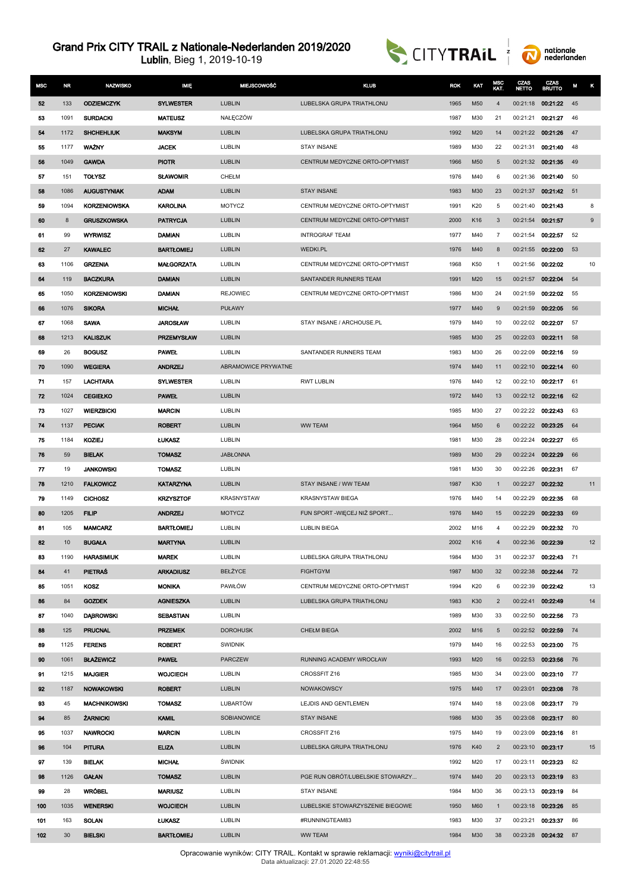Lublin, Bieg 1, 2019-10-19





| <b>MSC</b> | <b>NR</b>   | <b>NAZWISKO</b>          | MIE                             | <b>MIEJSCOWOŚĆ</b>        | <b>KLUB</b>                      | <b>ROK</b>   | KAT        | MSC<br>KAT.    | CZAS<br><b>NETTO</b> | CZAS<br><b>BRUTTO</b> | M        | κ                |
|------------|-------------|--------------------------|---------------------------------|---------------------------|----------------------------------|--------------|------------|----------------|----------------------|-----------------------|----------|------------------|
| 52         | 133         | <b>ODZIEMCZYK</b>        | <b>SYLWESTER</b>                | <b>LUBLIN</b>             | LUBELSKA GRUPA TRIATHLONU        | 1965         | M50        | $\overline{4}$ | 00:21:18             | 00:21:22              | 45       |                  |
| 53         | 1091        | <b>SURDACKI</b>          | <b>MATEUSZ</b>                  | NAŁĘCZÓW                  |                                  | 1987         | M30        | 21             | 00:21:21             | 00:21:27              | 46       |                  |
| 54         | 1172        | <b>SHCHEHLIUK</b>        | <b>MAKSYM</b>                   | <b>LUBLIN</b>             | LUBELSKA GRUPA TRIATHLONU        | 1992         | M20        | 14             | 00:21:22             | 00:21:26              | 47       |                  |
| 55         | 1177        | <b>WAZNY</b>             | <b>JACEK</b>                    | LUBLIN                    | <b>STAY INSANE</b>               | 1989         | M30        | 22             | 00:21:31             | 00:21:40              | 48       |                  |
| 56         | 1049        | <b>GAWDA</b>             | <b>PIOTR</b>                    | <b>LUBLIN</b>             | CENTRUM MEDYCZNE ORTO-OPTYMIST   | 1966         | M50        | 5              | 00:21:32             | 00:21:35              | 49       |                  |
| 57         | 151         | <b>TOŁYSZ</b>            | <b>SLAWOMIR</b>                 | CHEŁM                     |                                  | 1976         | M40        | 6              | 00:21:36             | 00:21:40              | 50       |                  |
| 58         | 1086        | <b>AUGUSTYNIAK</b>       | <b>ADAM</b>                     | <b>LUBLIN</b>             | STAY INSANE                      | 1983         | M30        | 23             | 00:21:37             | 00:21:42              | 51       |                  |
| 59         | 1094        | <b>KORZENIOWSKA</b>      | <b>KAROLINA</b>                 | <b>MOTYCZ</b>             | CENTRUM MEDYCZNE ORTO-OPTYMIST   | 1991         | K20        | 5              | 00:21:40             | 00:21:43              |          | 8                |
| 60         | 8           | <b>GRUSZKOWSKA</b>       | <b>PATRYCJA</b>                 | <b>LUBLIN</b>             | CENTRUM MEDYCZNE ORTO-OPTYMIST   | 2000         | K16        | 3              | 00:21:54             | 00:21:57              |          | $\boldsymbol{9}$ |
| 61         | 99          | <b>WYRWISZ</b>           | <b>DAMIAN</b>                   | LUBLIN                    | <b>INTROGRAF TEAM</b>            | 1977         | M40        | 7              | 00:21:54             | 00:22:57              | 52       |                  |
| 62         | 27          | <b>KAWALEC</b>           | <b>BARTLOMIEJ</b>               | <b>LUBLIN</b>             | <b>WEDKI.PL</b>                  | 1976         | M40        | 8              | 00:21:55             | 00:22:00              | 53       |                  |
| 63         | 1106        | <b>GRZENIA</b>           | <b>MALGORZATA</b>               | LUBLIN                    | CENTRUM MEDYCZNE ORTO-OPTYMIST   | 1968         | K50        | 1              | 00:21:56             | 00:22:02              |          | 10               |
| 64         | 119         | <b>BACZKURA</b>          | <b>DAMIAN</b>                   | <b>LUBLIN</b>             | SANTANDER RUNNERS TEAM           | 1991         | M20        | 15             | 00:21:57             | 00:22:04              | 54       |                  |
| 65         | 1050        | <b>KORZENIOWSKI</b>      | <b>DAMIAN</b>                   | <b>REJOWIEC</b>           | CENTRUM MEDYCZNE ORTO-OPTYMIST   | 1986         | M30        | 24             | 00:21:59             | 00.22.02              | 55       |                  |
| 66         | 1076        | <b>SIKORA</b>            | <b>MICHAL</b>                   | <b>PUŁAWY</b>             |                                  | 1977         | M40        | 9              | 00:21:59             | 00:22:05              | 56       |                  |
| 67         | 1068        | <b>SAWA</b>              | <b>JAROSŁAW</b>                 | LUBLIN                    | STAY INSANE / ARCHOUSE.PL        | 1979         | M40        | 10             | 00:22:02             | 00:22:07              | 57       |                  |
| 68         | 1213        | <b>KALISZUK</b>          | <b>PRZEMYSŁAW</b>               | <b>LUBLIN</b>             |                                  | 1985         | M30        | 25             | 00:22:03             | 00:22:11              | 58       |                  |
| 69         | 26          | <b>BOGUSZ</b>            | <b>PAWEL</b>                    | LUBLIN                    | SANTANDER RUNNERS TEAM           | 1983         | M30        | 26             | 00:22:09             | 00:22:16              | 59       |                  |
| 70         | 1090        | <b>WEGIERA</b>           | <b>ANDRZEJ</b>                  | ABRAMOWICE PRYWATNE       |                                  | 1974         | M40        | 11             | 00:22:10             | 00:22:14              | 60       |                  |
| 71         | 157         | <b>LACHTARA</b>          | <b>SYLWESTER</b>                | LUBLIN                    | <b>RWT LUBLIN</b>                | 1976         | M40        | 12             | 00:22:10             | 00:22:17              | 61       |                  |
| 72         | 1024        | <b>CEGIEŁKO</b>          | <b>PAWEL</b>                    | <b>LUBLIN</b>             |                                  | 1972         | M40        | 13             | 00:22:12             | 00:22:16              | 62       |                  |
| 73         | 1027        | <b>WIERZBICKI</b>        | <b>MARCIN</b>                   | LUBLIN                    |                                  | 1985         | M30        | 27             | 00:22:22             | 00:22:43              | 63       |                  |
| 74         | 1137        | <b>PECIAK</b>            | <b>ROBERT</b>                   | <b>LUBLIN</b>             | <b>WW TEAM</b>                   | 1964         | M50        | 6              | 00:22:22             | 00:23:25              | 64       |                  |
| 75         | 1184        | <b>KOZIEJ</b>            | <b>LUKASZ</b>                   | LUBLIN                    |                                  | 1981         | M30        | 28             | 00:22:24             | 00:22:27              | 65       |                  |
| 76         | 59          | <b>BIELAK</b>            | <b>TOMASZ</b>                   | <b>JABŁONNA</b>           |                                  | 1989         | M30        | 29             | 00:22:24             | 00:22:29              | 66       |                  |
| 77         | 19          | <b>JANKOWSKI</b>         | <b>TOMASZ</b>                   | LUBLIN                    |                                  | 1981         | M30        | 30             | 00:22:26             | 00:22:31              | 67       |                  |
| 78         | 1210        | <b>FALKOWICZ</b>         | <b>KATARZYNA</b>                | <b>LUBLIN</b>             | STAY INSANE / WW TEAM            | 1987         | K30        | $\mathbf{1}$   | 00:22:27             | 00:22:32              |          | 11               |
| 79         | 1149        | <b>CICHOSZ</b>           | <b>KRZYSZTOF</b>                | <b>KRASNYSTAW</b>         | <b>KRASNYSTAW BIEGA</b>          | 1976         | M40        | 14             | 00:22:29             | 00:22:35              | 68       |                  |
| 80         | 1205        | <b>FILIP</b>             | <b>ANDRZEJ</b>                  | <b>MOTYCZ</b>             | FUN SPORT - WIĘCEJ NIŻ SPORT     | 1976         | M40        | 15             | 00:22:29             | 00:22:33              | 69       |                  |
| 81         | 105         | <b>MAMCARZ</b>           | <b>BARTŁOMIEJ</b>               | LUBLIN                    | <b>LUBLIN BIEGA</b>              | 2002         | M16        | $\overline{4}$ | 00:22:29             | 00:22:32              | 70       |                  |
| 82         | 10          | <b>BUGAŁA</b>            | <b>MARTYNA</b>                  | <b>LUBLIN</b>             |                                  | 2002         | K16        | $\overline{4}$ | 00:22:36             | 00:22:39              |          | 12               |
| 83         | 1190        | <b>HARASIMIUK</b>        | <b>MAREK</b>                    | LUBLIN                    | LUBELSKA GRUPA TRIATHLONU        | 1984         | M30        | 31             | 00:22:37             | 00:22:43              | 71       |                  |
| 84         | 41          | <b>PIETRAS</b>           | <b>ARKADIUSZ</b>                | BEŁŻYCE                   | <b>FIGHTGYM</b>                  | 1987         | M30        | 32             | 00:22:38             | 00:22:44              | 72       |                  |
| 85         | 1051        | <b>KOSZ</b>              | <b>MONIKA</b>                   | PAWŁÓW                    | CENTRUM MEDYCZNE ORTO-OPTYMIST   | 1994         | K20        | 6              | 00:22:39             | 00:22:42              |          | 13               |
| 86         | 84          | <b>GOZDEK</b>            | <b>AGNIESZKA</b>                | <b>LUBLIN</b>             | LUBELSKA GRUPA TRIATHLONU        | 1983         | K30        | $\overline{2}$ | 00:22:41             | 00:22:49              |          | 14               |
| 87         | 1040        | <b>DABROWSKI</b>         | <b>SEBASTIAN</b>                | LUBLIN<br><b>DOROHUSK</b> |                                  | 1989         | M30        | 33             | 00:22:50             | 00:22:56              | 73       |                  |
| 88<br>89   | 125<br>1125 | PRUCNAL<br><b>FERENS</b> | <b>PRZEMEK</b><br><b>ROBERT</b> | <b>SWIDNIK</b>            | <b>CHEŁM BIEGA</b>               | 2002<br>1979 | M16<br>M40 | 5<br>16        | 00:22:52<br>00:22:53 | 00:22:59<br>00:23:00  | 74<br>75 |                  |
| 90         | 1061        | <b>BŁAŻEWICZ</b>         | <b>PAWEL</b>                    | <b>PARCZEW</b>            | RUNNING ACADEMY WROCŁAW          | 1993         | M20        | 16             | 00:22:53             | 00:23:56              | 76       |                  |
| 91         | 1215        | <b>MAJGIER</b>           | <b>WOJCIECH</b>                 | LUBLIN                    | CROSSFIT Z16                     | 1985         | M30        | 34             | 00:23:00             | 00:23:10              | 77       |                  |
| 92         | 1187        | <b>NOWAKOWSKI</b>        | <b>ROBERT</b>                   | <b>LUBLIN</b>             | <b>NOWAKOWSCY</b>                | 1975         | M40        | 17             | 00:23:01             | 00:23:08              | 78       |                  |
| 93         | 45          | <b>MACHNIKOWSKI</b>      | <b>TOMASZ</b>                   | LUBARTÓW                  | LEJDIS AND GENTLEMEN             | 1974         | M40        | 18             | 00:23:08             | 00:23:17              | 79       |                  |
| 94         | 85          | <b>ZARNICKI</b>          | <b>KAMIL</b>                    | SOBIANOWICE               | <b>STAY INSANE</b>               | 1986         | M30        | 35             | 00:23:08             | 00:23:17              | 80       |                  |
| 95         | 1037        | <b>NAWROCKI</b>          | <b>MARCIN</b>                   | LUBLIN                    | CROSSFIT Z16                     | 1975         | M40        | 19             | 00:23:09             | 00:23:16              | 81       |                  |
| 96         | 104         | <b>PITURA</b>            | <b>ELIZA</b>                    | <b>LUBLIN</b>             | LUBELSKA GRUPA TRIATHLONU        | 1976         | K40        | $\overline{2}$ | 00:23:10             | 00:23:17              |          | 15               |
| 97         | 139         | <b>BIELAK</b>            | <b>MICHAL</b>                   | <b>ŚWIDNIK</b>            |                                  | 1992         | M20        | 17             | 00:23:11             | 00:23:23              | 82       |                  |
| 98         | 1126        | <b>GAŁAN</b>             | <b>TOMASZ</b>                   | <b>LUBLIN</b>             | PGE RUN OBRÓT/LUBELSKIE STOWARZY | 1974         | M40        | 20             | 00:23:13             | 00:23:19              | 83       |                  |
| 99         | 28          | <b>WRÓBEL</b>            | <b>MARIUSZ</b>                  | LUBLIN                    | STAY INSANE                      | 1984         | M30        | 36             | 00:23:13             | 00:23:19              | 84       |                  |
| 100        | 1035        | <b>WENERSKI</b>          | <b>WOJCIECH</b>                 | <b>LUBLIN</b>             | LUBELSKIE STOWARZYSZENIE BIEGOWE | 1950         | M60        | $\mathbf{1}$   | 00:23:18             | 00:23:26              | 85       |                  |
| 101        | 163         | SOLAN                    | <b>LUKASZ</b>                   | LUBLIN                    | #RUNNINGTEAM83                   | 1983         | M30        | 37             | 00:23:21             | 00:23:37              | 86       |                  |
| 102        | 30          | <b>BIELSKI</b>           | <b>BARTŁOMIEJ</b>               | <b>LUBLIN</b>             | <b>WW TEAM</b>                   | 1984         | M30        | 38             |                      | 00:23:28 00:24:32     | 87       |                  |

Opracowanie wyników: CITY TRAIL. Kontakt w sprawie reklamacji: <u>[wyniki@citytrail.pl](mailto: wyniki@citytrail.pl)</u><br>Data aktualizacji: 27.01.2020 22:48:55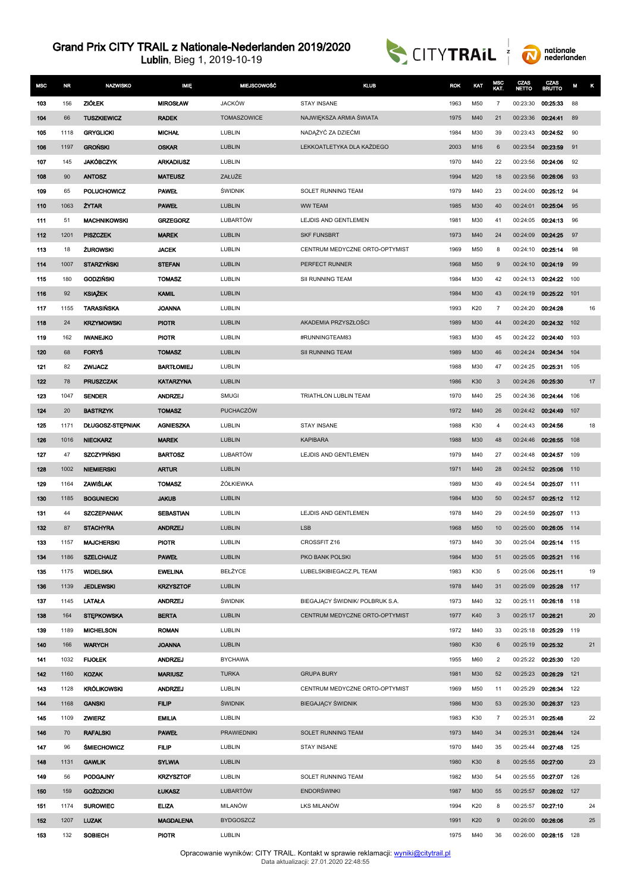



| <b>MSC</b> | <b>NR</b> | <b>NAZWISKO</b>         | <b>IMIE</b>       | <b>MIEJSCOWOŚĆ</b> | <b>KLUB</b>                     | <b>ROK</b> | KAT | MSC<br>KAT.    | CZAS<br><b>NETTO</b> | CZAS<br><b>BRUTTO</b> | М   | κ      |
|------------|-----------|-------------------------|-------------------|--------------------|---------------------------------|------------|-----|----------------|----------------------|-----------------------|-----|--------|
| 103        | 156       | <b>ZIÓŁEK</b>           | <b>MIROSŁAW</b>   | <b>JACKÓW</b>      | <b>STAY INSANE</b>              | 1963       | M50 | $\overline{7}$ | 00:23:30             | 00:25:33              | 88  |        |
| 104        | 66        | <b>TUSZKIEWICZ</b>      | <b>RADEK</b>      | <b>TOMASZOWICE</b> | NAJWIĘKSZA ARMIA ŚWIATA         | 1975       | M40 | 21             | 00:23:36             | 00:24:41              | 89  |        |
| 105        | 1118      | <b>GRYGLICKI</b>        | <b>MICHAL</b>     | LUBLIN             | NADĄŻYĆ ZA DZIEĆMI              | 1984       | M30 | 39             | 00:23:43             | 00:24:52              | 90  |        |
| 106        | 1197      | <b>GROŃSKI</b>          | <b>OSKAR</b>      | <b>LUBLIN</b>      | LEKKOATLETYKA DLA KAŻDEGO       | 2003       | M16 | 6              | 00:23:54             | 00:23:59              | 91  |        |
| 107        | 145       | <b>JAKÓBCZYK</b>        | <b>ARKADIUSZ</b>  | LUBLIN             |                                 | 1970       | M40 | 22             | 00:23:56             | 00:24:06              | 92  |        |
| 108        | 90        | <b>ANTOSZ</b>           | <b>MATEUSZ</b>    | ZAŁUŻE             |                                 | 1994       | M20 | 18             | 00:23:56             | 00:26:06              | 93  |        |
| 109        | 65        | POLUCHOWICZ             | <b>PAWEL</b>      | <b>ŚWIDNIK</b>     | SOLET RUNNING TEAM              | 1979       | M40 | 23             | 00:24:00             | 00:25:12              | 94  |        |
| 110        | 1063      | <b>ZYTAR</b>            | <b>PAWEL</b>      | <b>LUBLIN</b>      | <b>WW TEAM</b>                  | 1985       | M30 | 40             | 00:24:01             | 00:25:04              | 95  |        |
| 111        | 51        | <b>MACHNIKOWSKI</b>     | <b>GRZEGORZ</b>   | LUBARTÓW           | LEJDIS AND GENTLEMEN            | 1981       | M30 | 41             | 00:24:05             | 00:24:13              | 96  |        |
| 112        | 1201      | <b>PISZCZEK</b>         | <b>MAREK</b>      | <b>LUBLIN</b>      | <b>SKF FUNSBRT</b>              | 1973       | M40 | 24             | 00:24:09             | 00:24:25              | 97  |        |
| 113        | 18        | <b>ZUROWSKI</b>         | <b>JACEK</b>      | LUBLIN             | CENTRUM MEDYCZNE ORTO-OPTYMIST  | 1969       | M50 | 8              | 00:24:10             | 00:25:14              | 98  |        |
| 114        | 1007      | <b>STARZYNSKI</b>       | <b>STEFAN</b>     | <b>LUBLIN</b>      | PERFECT RUNNER                  | 1968       | M50 | 9              | 00:24:10             | 00:24:19              | 99  |        |
| 115        | 180       | <b>GODZINSKI</b>        | <b>TOMASZ</b>     | LUBLIN             | SII RUNNING TEAM                | 1984       | M30 | 42             | 00:24:13             | 00:24:22              | 100 |        |
| 116        | 92        | <b>KSIĄŻEK</b>          | <b>KAMIL</b>      | <b>LUBLIN</b>      |                                 | 1984       | M30 | 43             | 00:24:19             | 00:25:22              | 101 |        |
| 117        | 1155      | TARASIŃSKA              | <b>JOANNA</b>     | LUBLIN             |                                 | 1993       | K20 | $\overline{7}$ | 00:24:20             | 00:24:28              |     | 16     |
| 118        | 24        | <b>KRZYMOWSKI</b>       | <b>PIOTR</b>      | <b>LUBLIN</b>      | AKADEMIA PRZYSZŁOŚCI            | 1989       | M30 | 44             | 00:24:20             | 00:24:32              | 102 |        |
| 119        | 162       | <b>IWANEJKO</b>         | <b>PIOTR</b>      | LUBLIN             | #RUNNINGTEAM83                  | 1983       | M30 | 45             | 00:24:22             | 00:24:40              | 103 |        |
| 120        | 68        | <b>FORYS</b>            | <b>TOMASZ</b>     | <b>LUBLIN</b>      | <b>SII RUNNING TEAM</b>         | 1989       | M30 | 46             | 00:24:24             | 00:24:34              | 104 |        |
| 121        | 82        | <b>ZWIJACZ</b>          | <b>BARTŁOMIEJ</b> | LUBLIN             |                                 | 1988       | M30 | 47             | 00:24:25             | 00:25:31              | 105 |        |
| 122        | 78        | <b>PRUSZCZAK</b>        | <b>KATARZYNA</b>  | <b>LUBLIN</b>      |                                 | 1986       | K30 | 3              | 00:24:26             | 00:25:30              |     | 17     |
| 123        | 1047      | <b>SENDER</b>           | <b>ANDRZEJ</b>    | <b>SMUGI</b>       | TRIATHLON LUBLIN TEAM           | 1970       | M40 | 25             | 00:24:36             | 00:24:44              | 106 |        |
| 124        | 20        | <b>BASTRZYK</b>         | <b>TOMASZ</b>     | <b>PUCHACZÓW</b>   |                                 | 1972       | M40 | 26             | 00:24:42             | 00:24:49              | 107 |        |
| 125        | 1171      | <b>DŁUGOSZ-STĘPNIAK</b> | <b>AGNIESZKA</b>  | LUBLIN             | <b>STAY INSANE</b>              | 1988       | K30 | 4              | 00:24:43             | 00:24:56              |     | 18     |
| 126        | 1016      | <b>NIECKARZ</b>         | <b>MAREK</b>      | <b>LUBLIN</b>      | <b>KAPIBARA</b>                 | 1988       | M30 | 48             | 00:24:46             | 00:26:55              | 108 |        |
| 127        | 47        | <b>SZCZYPIŃSKI</b>      | <b>BARTOSZ</b>    | LUBARTÓW           | LEJDIS AND GENTLEMEN            | 1979       | M40 | 27             | 00:24:48             | 00:24:57              | 109 |        |
| 128        | 1002      | <b>NIEMIERSKI</b>       | <b>ARTUR</b>      | <b>LUBLIN</b>      |                                 | 1971       | M40 | 28             | 00:24:52             | 00:25:06              | 110 |        |
| 129        | 1164      | <b>ZAWISLAK</b>         | <b>TOMASZ</b>     | ŻÓŁKIEWKA          |                                 | 1989       | M30 | 49             | 00:24:54             | 00:25:07              | 111 |        |
| 130        | 1185      | <b>BOGUNIECKI</b>       | <b>JAKUB</b>      | <b>LUBLIN</b>      |                                 | 1984       | M30 | 50             | 00:24:57             | 00:25:12              | 112 |        |
| 131        | 44        | <b>SZCZEPANIAK</b>      | <b>SEBASTIAN</b>  | LUBLIN             | LEJDIS AND GENTLEMEN            | 1978       | M40 | 29             | 00:24:59             | 00:25:07              | 113 |        |
| 132        | 87        | <b>STACHYRA</b>         | <b>ANDRZEJ</b>    | <b>LUBLIN</b>      | <b>LSB</b>                      | 1968       | M50 | 10             | 00:25:00             | 00:26:05              | 114 |        |
| 133        | 1157      | <b>MAJCHERSKI</b>       | <b>PIOTR</b>      | LUBLIN             | CROSSFIT Z16                    | 1973       | M40 | 30             | 00:25:04             | 00:25:14 115          |     |        |
| 134        | 1186      | <b>SZELCHAUZ</b>        | <b>PAWEL</b>      | <b>LUBLIN</b>      | PKO BANK POLSKI                 | 1984       | M30 | 51             | 00:25:05             | 00:25:21 116          |     |        |
| 135        | 1175      | <b>WIDELSKA</b>         | <b>EWELINA</b>    | BEŁŻYCE            | LUBELSKIBIEGACZ.PL TEAM         | 1983       | K30 | 5              | 00:25:06             | 00:25:11              |     | 19     |
| 136        | 1139      | <b>JEDLEWSKI</b>        | <b>KRZYSZTOF</b>  | LUBLIN             |                                 | 1978       | M40 | 31             | 00:25:09             | 00:25:28 117          |     |        |
| 137        | 1145      | <b>LATALA</b>           | <b>ANDRZEJ</b>    | ŚWIDNIK            | BIEGAJĄCY ŚWIDNIK/ POLBRUK S.A. | 1973       | M40 | 32             | 00:25:11             | 00:26:18 118          |     |        |
| 138        | 164       | <b>STEPKOWSKA</b>       | <b>BERTA</b>      | <b>LUBLIN</b>      | CENTRUM MEDYCZNE ORTO-OPTYMIST  | 1977       | K40 | 3              | 00:25:17             | 00:26:21              |     | $20\,$ |
| 139        | 1189      | <b>MICHELSON</b>        | <b>ROMAN</b>      | LUBLIN             |                                 | 1972       | M40 | 33             | 00:25:18             | 00:25:29 119          |     |        |
| 140        | 166       | <b>WARYCH</b>           | <b>JOANNA</b>     | LUBLIN             |                                 | 1980       | K30 | 6              | 00:25:19             | 00:25:32              |     | 21     |
| 141        | 1032      | <b>FIJOLEK</b>          | <b>ANDRZEJ</b>    | <b>BYCHAWA</b>     |                                 | 1955       | M60 | $\overline{2}$ | 00:25:22             | 00:25:30              | 120 |        |
| 142        | 1160      | <b>KOZAK</b>            | <b>MARIUSZ</b>    | <b>TURKA</b>       | <b>GRUPA BURY</b>               | 1981       | M30 | 52             | 00:25:23             | 00:26:29              | 121 |        |
| 143        | 1128      | <b>KRÓLIKOWSKI</b>      | <b>ANDRZEJ</b>    | LUBLIN             | CENTRUM MEDYCZNE ORTO-OPTYMIST  | 1969       | M50 | 11             | 00:25:29             | 00:26:34              | 122 |        |
| 144        | 1168      | <b>GANSKI</b>           | <b>FILIP</b>      | <b>ŚWIDNIK</b>     | <b>BIEGAJĄCY ŚWIDNIK</b>        | 1986       | M30 | 53             | 00:25:30             | 00:26:37              | 123 |        |
| 145        | 1109      | <b>ZWIERZ</b>           | <b>EMILIA</b>     | LUBLIN             |                                 | 1983       | K30 | $\overline{7}$ | 00:25:31             | 00:25:48              |     | 22     |
| 146        | 70        | <b>RAFALSKI</b>         | <b>PAWEL</b>      | <b>PRAWIEDNIKI</b> | SOLET RUNNING TEAM              | 1973       | M40 | 34             | 00:25:31             | 00:26:44              | 124 |        |
| 147        | 96        | <b>ŚMIECHOWICZ</b>      | <b>FILIP</b>      | LUBLIN             | <b>STAY INSANE</b>              | 1970       | M40 | 35             | 00:25:44             | 00:27:48 125          |     |        |
| 148        | 1131      | <b>GAWLIK</b>           | <b>SYLWIA</b>     | <b>LUBLIN</b>      |                                 | 1980       | K30 | 8              | 00:25:55             | 00:27:00              |     | 23     |
| 149        | 56        | PODGAJNY                | <b>KRZYSZTOF</b>  | LUBLIN             | SOLET RUNNING TEAM              | 1982       | M30 | 54             | 00:25:55             | 00:27:07              | 126 |        |
| 150        | 159       | <b>GOŹDZICKI</b>        | <b>LUKASZ</b>     | <b>LUBARTÓW</b>    | <b>ENDORŚWINKI</b>              | 1987       | M30 | 55             | 00:25:57             | 00:26:02 127          |     |        |
| 151        | 1174      | <b>SUROWIEC</b>         | <b>ELIZA</b>      | <b>MILANÓW</b>     | LKS MILANÓW                     | 1994       | K20 | 8              | 00:25:57             | 00:27:10              |     | 24     |
| 152        | 1207      | <b>LUZAK</b>            | <b>MAGDALENA</b>  | <b>BYDGOSZCZ</b>   |                                 | 1991       | K20 | 9              | 00:26:00             | 00:26:06              |     | 25     |
| 153        | 132       | SOBIECH                 | <b>PIOTR</b>      | LUBLIN             |                                 | 1975       | M40 | 36             | 00:26:00             | 00:28:15 128          |     |        |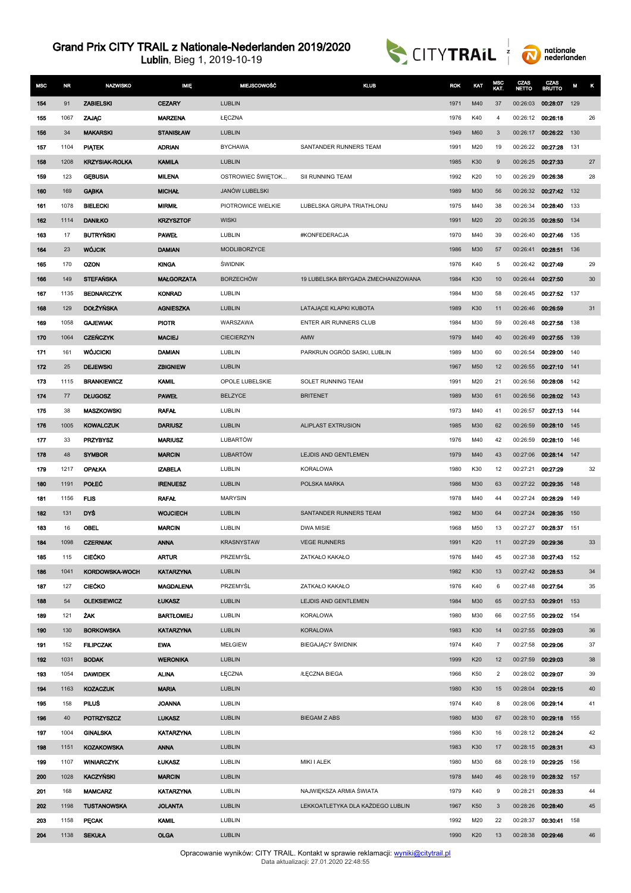



| <b>MSC</b> | <b>NR</b> | <b>NAZWISKO</b>       | <b>IMIE</b>       | <b>MIEJSCOWOŚĆ</b>    | <b>KLUB</b>                        | <b>ROK</b> | KAT | MSC<br>KAT.    | CZAS<br><b>NETTO</b> | CZAS<br><b>BRUTTO</b> | М   | κ  |
|------------|-----------|-----------------------|-------------------|-----------------------|------------------------------------|------------|-----|----------------|----------------------|-----------------------|-----|----|
| 154        | 91        | <b>ZABIELSKI</b>      | <b>CEZARY</b>     | <b>LUBLIN</b>         |                                    | 1971       | M40 | 37             | 00:26:03             | 00:28:07              | 129 |    |
| 155        | 1067      | ZAJAC                 | <b>MARZENA</b>    | ŁĘCZNA                |                                    | 1976       | K40 | 4              | 00:26:12             | 00:26:18              |     | 26 |
| 156        | 34        | <b>MAKARSKI</b>       | <b>STANISŁAW</b>  | <b>LUBLIN</b>         |                                    | 1949       | M60 | 3              | 00:26:17             | 00:26:22              | 130 |    |
| 157        | 1104      | <b>PIATEK</b>         | <b>ADRIAN</b>     | <b>BYCHAWA</b>        | SANTANDER RUNNERS TEAM             | 1991       | M20 | 19             | 00:26:22             | 00:27:28              | 131 |    |
| 158        | 1208      | <b>KRZYSIAK-ROLKA</b> | KAMILA            | <b>LUBLIN</b>         |                                    | 1985       | K30 | 9              | 00:26:25             | 00:27:33              |     | 27 |
| 159        | 123       | <b>GEBUSIA</b>        | <b>MILENA</b>     | OSTROWIEC ŚWIĘTOK     | SII RUNNING TEAM                   | 1992       | K20 | 10             | 00:26:29             | 00:26:38              |     | 28 |
| 160        | 169       | <b>GABKA</b>          | <b>MICHAL</b>     | JANÓW LUBELSKI        |                                    | 1989       | M30 | 56             | 00:26:32             | 00:27:42              | 132 |    |
| 161        | 1078      | <b>BIELECKI</b>       | <b>MIRMIŁ</b>     | PIOTROWICE WIELKIE    | LUBELSKA GRUPA TRIATHLONU          | 1975       | M40 | 38             | 00:26:34             | 00:28:40              | 133 |    |
| 162        | 1114      | <b>DANIŁKO</b>        | <b>KRZYSZTOF</b>  | <b>WISKI</b>          |                                    | 1991       | M20 | 20             | 00:26:35             | 00:28:50              | 134 |    |
| 163        | 17        | <b>BUTRYŃSKI</b>      | <b>PAWEL</b>      | LUBLIN                | #KONFEDERACJA                      | 1970       | M40 | 39             | 00:26:40             | 00:27:46              | 135 |    |
| 164        | 23        | <b>WÓJCIK</b>         | <b>DAMIAN</b>     | MODLIBORZYCE          |                                    | 1986       | M30 | 57             | 00:26:41             | 00:28:51              | 136 |    |
| 165        | 170       | OZON                  | <b>KINGA</b>      | <b><i>SWIDNIK</i></b> |                                    | 1976       | K40 | 5              | 00:26:42             | 00:27:49              |     | 29 |
| 166        | 149       | <b>STEFANSKA</b>      | <b>MAŁGORZATA</b> | <b>BORZECHÓW</b>      | 19 LUBELSKA BRYGADA ZMECHANIZOWANA | 1984       | K30 | 10             | 00:26:44             | 00:27:50              |     | 30 |
| 167        | 1135      | <b>BEDNARCZYK</b>     | <b>KONRAD</b>     | LUBLIN                |                                    | 1984       | M30 | 58             | 00:26:45             | 00.27.52              | 137 |    |
| 168        | 129       | <b>DOLŻYŃSKA</b>      | <b>AGNIESZKA</b>  | <b>LUBLIN</b>         | LATAJĄCE KLAPKI KUBOTA             | 1989       | K30 | 11             | 00:26:46             | 00:26:59              |     | 31 |
| 169        | 1058      | <b>GAJEWIAK</b>       | <b>PIOTR</b>      | WARSZAWA              | ENTER AIR RUNNERS CLUB             | 1984       | M30 | 59             | 00:26:48             | 00:27:58              | 138 |    |
| 170        | 1064      | <b>CZEŃCZYK</b>       | <b>MACIEJ</b>     | <b>CIECIERZYN</b>     | AMW                                | 1979       | M40 | 40             | 00:26:49             | 00:27:55              | 139 |    |
| 171        | 161       | <b>WÓJCICKI</b>       | <b>DAMIAN</b>     | LUBLIN                | PARKRUN OGRÓD SASKI, LUBLIN        | 1989       | M30 | 60             | 00:26:54             | 00:29:00              | 140 |    |
| 172        | 25        | <b>DEJEWSKI</b>       | <b>ZBIGNIEW</b>   | <b>LUBLIN</b>         |                                    | 1967       | M50 | 12             | 00:26:55             | 00:27:10              | 141 |    |
| 173        | 1115      | <b>BRANKIEWICZ</b>    | <b>KAMIL</b>      | OPOLE LUBELSKIE       | SOLET RUNNING TEAM                 | 1991       | M20 | 21             | 00:26:56             | 00:28:08              | 142 |    |
| 174        | 77        | <b>DLUGOSZ</b>        | <b>PAWEL</b>      | <b>BELZYCE</b>        | <b>BRITENET</b>                    | 1989       | M30 | 61             | 00:26:56             | 00:28:02              | 143 |    |
| 175        | 38        | <b>MASZKOWSKI</b>     | <b>RAFAL</b>      | LUBLIN                |                                    | 1973       | M40 | 41             | 00:26:57             | 00:27:13              | 144 |    |
| 176        | 1005      | <b>KOWALCZUK</b>      | <b>DARIUSZ</b>    | <b>LUBLIN</b>         | ALIPLAST EXTRUSION                 | 1985       | M30 | 62             | 00:26:59             | 00:28:10              | 145 |    |
| 177        | 33        | <b>PRZYBYSZ</b>       | <b>MARIUSZ</b>    | LUBARTÓW              |                                    | 1976       | M40 | 42             | 00:26:59             | 00:28:10              | 146 |    |
| 178        | 48        | <b>SYMBOR</b>         | <b>MARCIN</b>     | <b>LUBARTÓW</b>       | LEJDIS AND GENTLEMEN               | 1979       | M40 | 43             | 00:27:06             | 00:28:14              | 147 |    |
| 179        | 1217      | <b>OPAŁKA</b>         | <b>IZABELA</b>    | LUBLIN                | <b>KORALOWA</b>                    | 1980       | K30 | 12             | 00:27:21             | 00:27:29              |     | 32 |
| 180        | 1191      | <b>POLEC</b>          | <b>IRENUESZ</b>   | LUBLIN                | POLSKA MARKA                       | 1986       | M30 | 63             | 00:27:22             | 00:29:35              | 148 |    |
| 181        | 1156      | <b>FLIS</b>           | <b>RAFAL</b>      | <b>MARYSIN</b>        |                                    | 1978       | M40 | 44             | 00:27:24             | 00:28:29              | 149 |    |
| 182        | 131       | DYŚ                   | <b>WOJCIECH</b>   | <b>LUBLIN</b>         | SANTANDER RUNNERS TEAM             | 1982       | M30 | 64             | 00:27:24             | 00:28:35              | 150 |    |
| 183        | 16        | OBEL                  | <b>MARCIN</b>     | LUBLIN                | <b>DWA MISIE</b>                   | 1968       | M50 | 13             | 00:27:27             | 00:28:37              | 151 |    |
| 184        | 1098      | <b>CZERNIAK</b>       | <b>ANNA</b>       | <b>KRASNYSTAW</b>     | <b>VEGE RUNNERS</b>                | 1991       | K20 | 11             | 00:27:29 00:29:36    |                       |     | 33 |
| 185        | 115       | CIEĆKO                | <b>ARTUR</b>      | PRZEMYŚL              | ZATKAŁO KAKAŁO                     | 1976       | M40 | 45             |                      | 00:27:38 00:27:43 152 |     |    |
| 186        | 1041      | KORDOWSKA-WOCH        | <b>KATARZYNA</b>  | LUBLIN                |                                    | 1982       | K30 | 13             | 00:27:42 00:28:53    |                       |     | 34 |
| 187        | 127       | <b>CIECKO</b>         | <b>MAGDALENA</b>  | PRZEMYŚL              | ZATKAŁO KAKAŁO                     | 1976       | K40 | 6              | 00:27:48 00:27:54    |                       |     | 35 |
| 188        | 54        | <b>OLEKSIEWICZ</b>    | <b>LUKASZ</b>     | LUBLIN                | <b>LEJDIS AND GENTLEMEN</b>        | 1984       | M30 | 65             | 00:27:53             | 00:29:01              | 153 |    |
| 189        | 121       | <b>ZAK</b>            | <b>BARTŁOMIEJ</b> | LUBLIN                | <b>KORALOWA</b>                    | 1980       | M30 | 66             |                      | 00:27:55 00:29:02     | 154 |    |
| 190        | 130       | <b>BORKOWSKA</b>      | <b>KATARZYNA</b>  | LUBLIN                | <b>KORALOWA</b>                    | 1983       | K30 | 14             | 00:27:55 00:29:03    |                       |     | 36 |
| 191        | 152       | <b>FILIPCZAK</b>      | <b>EWA</b>        | MEŁGIEW               | <b>BIEGAJĄCY ŚWIDNIK</b>           | 1974       | K40 | $\overline{7}$ | 00:27:58             | 00:29:06              |     | 37 |
| 192        | 1031      | <b>BODAK</b>          | <b>WERONIKA</b>   | LUBLIN                |                                    | 1999       | K20 | 12             | 00:27:59 00:29:03    |                       |     | 38 |
| 193        | 1054      | <b>DAWIDEK</b>        | <b>ALINA</b>      | ŁĘCZNA                | /ŁĘCZNA BIEGA                      | 1966       | K50 | $\overline{2}$ | 00:28:02 00:29:07    |                       |     | 39 |
| 194        | 1163      | <b>KOZACZUK</b>       | <b>MARIA</b>      | LUBLIN                |                                    | 1980       | K30 | 15             | 00:28:04 00:29:15    |                       |     | 40 |
| 195        | 158       | PILUŚ                 | <b>JOANNA</b>     | LUBLIN                |                                    | 1974       | K40 | 8              | 00:28:06             | 00:29:14              |     | 41 |
| 196        | 40        | <b>POTRZYSZCZ</b>     | <b>LUKASZ</b>     | LUBLIN                | <b>BIEGAM Z ABS</b>                | 1980       | M30 | 67             |                      | 00:28:10 00:29:18     | 155 |    |
| 197        | 1004      | <b>GINALSKA</b>       | <b>KATARZYNA</b>  | LUBLIN                |                                    | 1986       | K30 | 16             | 00:28:12 00:28:24    |                       |     | 42 |
| 198        | 1151      | <b>KOZAKOWSKA</b>     | <b>ANNA</b>       | LUBLIN                |                                    | 1983       | K30 | 17             | 00:28:15 00:28:31    |                       |     | 43 |
| 199        | 1107      | <b>WINIARCZYK</b>     | <b>LUKASZ</b>     | LUBLIN                | MIKI I ALEK                        | 1980       | M30 | 68             | 00:28:19             | 00:29:25              | 156 |    |
| 200        | 1028      | <b>KACZYŃSKI</b>      | <b>MARCIN</b>     | LUBLIN                |                                    | 1978       | M40 | 46             | 00:28:19             | 00:28:32              | 157 |    |
| 201        | 168       | <b>MAMCARZ</b>        | <b>KATARZYNA</b>  | LUBLIN                | NAJWIĘKSZA ARMIA ŚWIATA            | 1979       | K40 | 9              | 00:28:21             | 00:28:33              |     | 44 |
| 202        | 1198      | <b>TUSTANOWSKA</b>    | <b>JOLANTA</b>    | <b>LUBLIN</b>         | LEKKOATLETYKA DLA KAŻDEGO LUBLIN   | 1967       | K50 | 3              |                      | 00:28:26 00:28:40     |     | 45 |
| 203        | 1158      | <b>PECAK</b>          | <b>KAMIL</b>      | LUBLIN                |                                    | 1992       | M20 | 22             | 00:28:37             | 00:30:41              | 158 |    |
| 204        | 1138      | <b>SEKUŁA</b>         | <b>OLGA</b>       | LUBLIN                |                                    | 1990       | K20 | 13             | 00:28:38 00:29:46    |                       |     | 46 |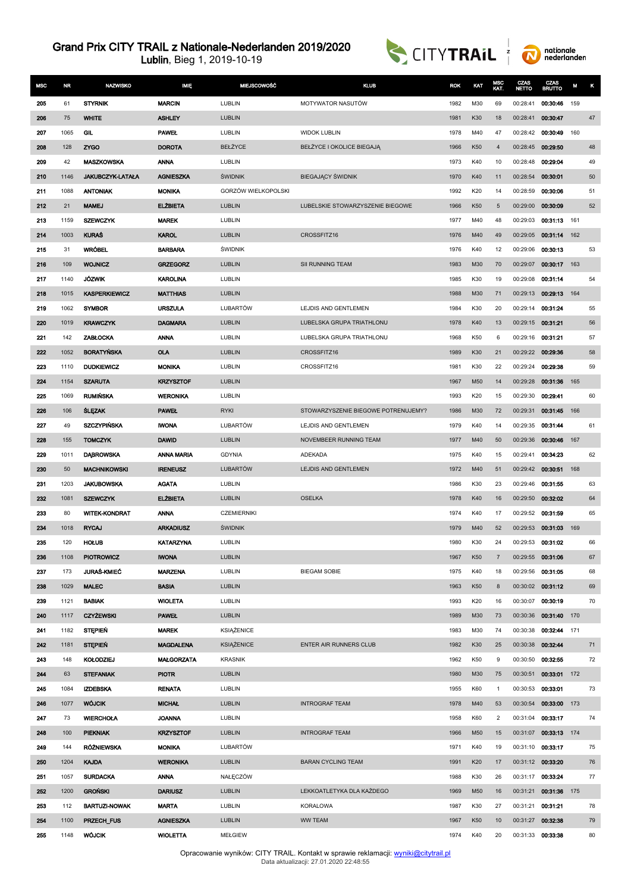



| <b>MSC</b> | NR.  | NAZWISKO             | <b>MIE</b>        | MIEJSCOWOŚĆ           | <b>KLUB</b>                         | <b>ROK</b> | KAT | MSC<br>KAT.    | CZAS<br><b>NETTO</b> | CZAS<br><b>BRUTTO</b> | M   | κ  |
|------------|------|----------------------|-------------------|-----------------------|-------------------------------------|------------|-----|----------------|----------------------|-----------------------|-----|----|
| 205        | 61   | <b>STYRNIK</b>       | <b>MARCIN</b>     | LUBLIN                | MOTYWATOR NASUTÓW                   | 1982       | M30 | 69             | 00:28:41             | 00:30:46              | 159 |    |
| 206        | 75   | <b>WHITE</b>         | <b>ASHLEY</b>     | <b>LUBLIN</b>         |                                     | 1981       | K30 | 18             | 00:28:41             | 00:30:47              |     | 47 |
| 207        | 1065 | <b>GIL</b>           | <b>PAWEL</b>      | LUBLIN                | <b>WIDOK LUBLIN</b>                 | 1978       | M40 | 47             | 00:28:42             | 00:30:49              | 160 |    |
| 208        | 128  | <b>ZYGO</b>          | <b>DOROTA</b>     | BEŁŻYCE               | BEŁŻYCE I OKOLICE BIEGAJĄ           | 1966       | K50 | $\overline{4}$ | 00:28:45             | 00:29:50              |     | 48 |
| 209        | 42   | <b>MASZKOWSKA</b>    | <b>ANNA</b>       | LUBLIN                |                                     | 1973       | K40 | 10             | 00:28:48             | 00:29:04              |     | 49 |
| 210        | 1146 | JAKUBCZYK-LATAŁA     | <b>AGNIESZKA</b>  | <b><i>ŚWIDNIK</i></b> | <b>BIEGAJĄCY ŚWIDNIK</b>            | 1970       | K40 | 11             | 00:28:54             | 00:30:01              |     | 50 |
| 211        | 1088 | <b>ANTONIAK</b>      | <b>MONIKA</b>     | GORZÓW WIELKOPOLSKI   |                                     | 1992       | K20 | 14             | 00:28:59             | 00:30:06              |     | 51 |
| 212        | 21   | <b>MAMEJ</b>         | <b>ELZBIETA</b>   | <b>LUBLIN</b>         | LUBELSKIE STOWARZYSZENIE BIEGOWE    | 1966       | K50 | 5              | 00:29:00             | 00:30:09              |     | 52 |
| 213        | 1159 | <b>SZEWCZYK</b>      | <b>MAREK</b>      | LUBLIN                |                                     | 1977       | M40 | 48             | 00:29:03             | 00:31:13              | 161 |    |
| 214        | 1003 | <b>KURAŚ</b>         | <b>KAROL</b>      | <b>LUBLIN</b>         | CROSSFITZ16                         | 1976       | M40 | 49             | 00:29:05             | 00:31:14              | 162 |    |
| 215        | 31   | <b>WRÓBEL</b>        | <b>BARBARA</b>    | <b><i>ŚWIDNIK</i></b> |                                     | 1976       | K40 | 12             | 00:29:06             | 00:30:13              |     | 53 |
| 216        | 109  | <b>WOJNICZ</b>       | <b>GRZEGORZ</b>   | <b>LUBLIN</b>         | SII RUNNING TEAM                    | 1983       | M30 | 70             | 00:29:07             | 00:30:17              | 163 |    |
| 217        | 1140 | <b>JÓZWIK</b>        | <b>KAROLINA</b>   | LUBLIN                |                                     | 1985       | K30 | 19             | 00:29:08             | 00:31:14              |     | 54 |
| 218        | 1015 | <b>KASPERKIEWICZ</b> | <b>MATTHIAS</b>   | <b>LUBLIN</b>         |                                     | 1988       | M30 | 71             | 00:29:13             | 00:29:13              | 164 |    |
| 219        | 1062 | <b>SYMBOR</b>        | <b>URSZULA</b>    | LUBARTÓW              | LEJDIS AND GENTLEMEN                | 1984       | K30 | 20             | 00:29:14             | 00:31:24              |     | 55 |
| 220        | 1019 | <b>KRAWCZYK</b>      | <b>DAGMARA</b>    | <b>LUBLIN</b>         | LUBELSKA GRUPA TRIATHLONU           | 1978       | K40 | 13             | 00:29:15             | 00:31:21              |     | 56 |
| 221        | 142  | <b>ZABŁOCKA</b>      | <b>ANNA</b>       | LUBLIN                | LUBELSKA GRUPA TRIATHLONU           | 1968       | K50 | 6              | 00:29:16             | 00:31:21              |     | 57 |
| 222        | 1052 | <b>BORATYŃSKA</b>    | <b>OLA</b>        | <b>LUBLIN</b>         | CROSSFITZ16                         | 1989       | K30 | 21             | 00:29:22             | 00:29:36              |     | 58 |
| 223        | 1110 | <b>DUDKIEWICZ</b>    | <b>MONIKA</b>     | LUBLIN                | CROSSFITZ16                         | 1981       | K30 | 22             | 00:29:24             | 00:29:38              |     | 59 |
| 224        | 1154 | <b>SZARUTA</b>       | <b>KRZYSZTOF</b>  | <b>LUBLIN</b>         |                                     | 1967       | M50 | 14             | 00:29:28             | 00:31:36              | 165 |    |
| 225        | 1069 | <b>RUMIŃSKA</b>      | WERONIKA          | LUBLIN                |                                     | 1993       | K20 | 15             | 00:29:30             | 00:29:41              |     | 60 |
| 226        | 106  | <b>SLEZAK</b>        | <b>PAWEL</b>      | <b>RYKI</b>           | STOWARZYSZENIE BIEGOWE POTRENUJEMY? | 1986       | M30 | 72             | 00:29:31             | 00:31:45              | 166 |    |
| 227        | 49   | <b>SZCZYPIŃSKA</b>   | <b>IWONA</b>      | LUBARTÓW              | LEJDIS AND GENTLEMEN                | 1979       | K40 | 14             | 00:29:35             | 00:31:44              |     | 61 |
| 228        | 155  | <b>TOMCZYK</b>       | <b>DAWID</b>      | <b>LUBLIN</b>         | NOVEMBEER RUNNING TEAM              | 1977       | M40 | 50             | 00:29:36             | 00:30:46              | 167 |    |
| 229        | 1011 | <b>DABROWSKA</b>     | <b>ANNA MARIA</b> | <b>GDYNIA</b>         | ADEKADA                             | 1975       | K40 | 15             | 00:29:41             | 00:34:23              |     | 62 |
| 230        | 50   | <b>MACHNIKOWSKI</b>  | <b>IRENEUSZ</b>   | <b>LUBARTÓW</b>       | LEJDIS AND GENTLEMEN                | 1972       | M40 | 51             | 00:29:42             | 00:30:51              | 168 |    |
| 231        | 1203 | <b>JAKUBOWSKA</b>    | <b>AGATA</b>      | LUBLIN                |                                     | 1986       | K30 | 23             | 00:29:46             | 00:31:55              |     | 63 |
| 232        | 1081 | <b>SZEWCZYK</b>      | <b>ELZBIETA</b>   | <b>LUBLIN</b>         | <b>OSELKA</b>                       | 1978       | K40 | 16             | 00:29:50             | 00:32:02              |     | 64 |
| 233        | 80   | <b>WITEK-KONDRAT</b> | <b>ANNA</b>       | <b>CZEMIERNIKI</b>    |                                     | 1974       | K40 | 17             | 00:29:52             | 00:31:59              |     | 65 |
| 234        | 1018 | <b>RYCAJ</b>         | <b>ARKADIUSZ</b>  | <b><i>ŚWIDNIK</i></b> |                                     | 1979       | M40 | 52             | 00:29:53             | 00:31:03              | 169 |    |
| 235        | 120  | <b>HOLUB</b>         | <b>KATARZYNA</b>  | LUBLIN                |                                     | 1980       | K30 | 24             |                      | 00:29:53 00:31:02     |     | 66 |
| 236        | 1108 | <b>PIOTROWICZ</b>    | <b>IWONA</b>      | <b>LUBLIN</b>         |                                     | 1967       | K50 | $\overline{7}$ |                      | 00:29:55 00:31:06     |     | 67 |
| 237        | 173  | <b>JURAŚ-KMIEĆ</b>   | <b>MARZENA</b>    | LUBLIN                | <b>BIEGAM SOBIE</b>                 | 1975       | K40 | 18             |                      | 00:29:56 00:31:05     |     | 68 |
| 238        | 1029 | <b>MALEC</b>         | <b>BASIA</b>      | <b>LUBLIN</b>         |                                     | 1963       | K50 | 8              |                      | 00:30:02 00:31:12     |     | 69 |
| 239        | 1121 | <b>BABIAK</b>        | <b>WIOLETA</b>    | LUBLIN                |                                     | 1993       | K20 | 16             | 00:30:07             | 00:30:19              |     | 70 |
| 240        | 1117 | <b>CZYŻEWSKI</b>     | <b>PAWEL</b>      | <b>LUBLIN</b>         |                                     | 1989       | M30 | 73             | 00:30:36             | 00:31:40              | 170 |    |
| 241        | 1182 | <b>STEPIEŃ</b>       | <b>MAREK</b>      | KSIĄŻENICE            |                                     | 1983       | M30 | 74             | 00:30:38             | 00:32:44              | 171 |    |
| 242        | 1181 | <b>STEPIEŃ</b>       | <b>MAGDALENA</b>  | <b>KSIĄŻENICE</b>     | ENTER AIR RUNNERS CLUB              | 1982       | K30 | 25             |                      | 00:30:38 00:32:44     |     | 71 |
| 243        | 148  | <b>KOLODZIEJ</b>     | <b>MALGORZATA</b> | <b>KRASNIK</b>        |                                     | 1962       | K50 | 9              | 00:30:50             | 00:32:55              |     | 72 |
| 244        | 63   | <b>STEFANIAK</b>     | <b>PIOTR</b>      | <b>LUBLIN</b>         |                                     | 1980       | M30 | 75             | 00:30:51             | 00:33:01 172          |     |    |
| 245        | 1084 | <b>IZDEBSKA</b>      | <b>RENATA</b>     | LUBLIN                |                                     | 1955       | K60 | $\mathbf{1}$   | 00:30:53             | 00.33.01              |     | 73 |
| 246        | 1077 | <b>WÓJCIK</b>        | <b>MICHAL</b>     | <b>LUBLIN</b>         | <b>INTROGRAF TEAM</b>               | 1978       | M40 | 53             | 00:30:54             | 00:33:00              | 173 |    |
| 247        | 73   | <b>WIERCHOLA</b>     | <b>JOANNA</b>     | LUBLIN                |                                     | 1958       | K60 | $\overline{2}$ |                      | 00:31:04 00:33:17     |     | 74 |
| 248        | 100  | <b>PIEKNIAK</b>      | <b>KRZYSZTOF</b>  | <b>LUBLIN</b>         | <b>INTROGRAF TEAM</b>               | 1966       | M50 | 15             |                      | 00:31:07 00:33:13 174 |     |    |
| 249        | 144  | <b>RÓŻNIEWSKA</b>    | <b>MONIKA</b>     | LUBARTÓW              |                                     | 1971       | K40 | 19             |                      | 00:31:10 00:33:17     |     | 75 |
| 250        | 1204 | <b>KAJDA</b>         | <b>WERONIKA</b>   | <b>LUBLIN</b>         | <b>BARAN CYCLING TEAM</b>           | 1991       | K20 | 17             |                      | 00:31:12 00:33:20     |     | 76 |
| 251        | 1057 | <b>SURDACKA</b>      | <b>ANNA</b>       | NAŁĘCZÓW              |                                     | 1988       | K30 | 26             |                      | 00:31:17 00:33:24     |     | 77 |
| 252        | 1200 | <b>GROŃSKI</b>       | <b>DARIUSZ</b>    | <b>LUBLIN</b>         | LEKKOATLETYKA DLA KAŻDEGO           | 1969       | M50 | 16             |                      | 00:31:21 00:31:36 175 |     |    |
| 253        | 112  | <b>BARTUZI-NOWAK</b> | <b>MARTA</b>      | LUBLIN                | <b>KORALOWA</b>                     | 1987       | K30 | 27             | 00:31:21             | 00:31:21              |     | 78 |
| 254        | 1100 | <b>PRZECH_FUS</b>    | <b>AGNIESZKA</b>  | <b>LUBLIN</b>         | <b>WW TEAM</b>                      | 1967       | K50 | 10             |                      | 00:31:27 00:32:38     |     | 79 |
| 255        | 1148 | <b>WOJCIK</b>        | <b>WIOLETTA</b>   | MEŁGIEW               |                                     | 1974       | K40 | 20             |                      | 00:31:33 00:33:38     |     | 80 |